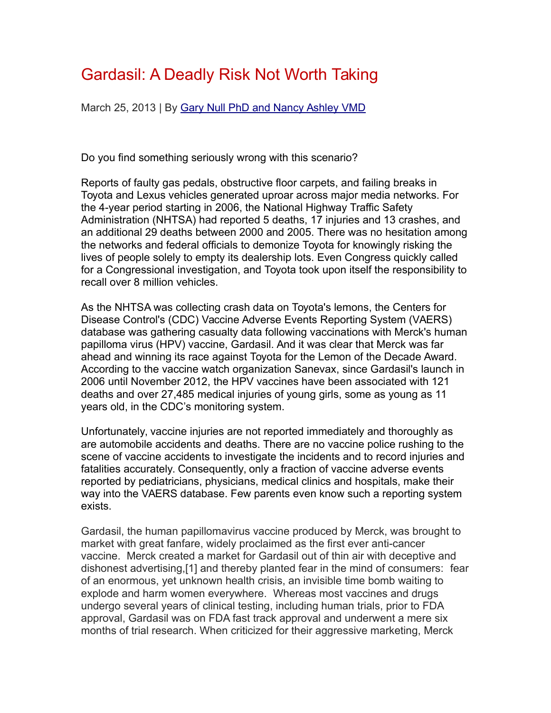# Gardasil: A Deadly Risk Not Worth Taking

March 25, 2013 | By [Gary Null PhD and Nancy Ashley VMD](http://vactruth.com/author/garyandashley/)

Do you find something seriously wrong with this scenario?

Reports of faulty gas pedals, obstructive floor carpets, and failing breaks in Toyota and Lexus vehicles generated uproar across major media networks. For the 4-year period starting in 2006, the National Highway Traffic Safety Administration (NHTSA) had reported 5 deaths, 17 injuries and 13 crashes, and an additional 29 deaths between 2000 and 2005. There was no hesitation among the networks and federal officials to demonize Toyota for knowingly risking the lives of people solely to empty its dealership lots. Even Congress quickly called for a Congressional investigation, and Toyota took upon itself the responsibility to recall over 8 million vehicles.

As the NHTSA was collecting crash data on Toyota's lemons, the Centers for Disease Control's (CDC) Vaccine Adverse Events Reporting System (VAERS) database was gathering casualty data following vaccinations with Merck's human papilloma virus (HPV) vaccine, Gardasil. And it was clear that Merck was far ahead and winning its race against Toyota for the Lemon of the Decade Award. According to the vaccine watch organization Sanevax, since Gardasil's launch in 2006 until November 2012, the HPV vaccines have been associated with 121 deaths and over 27,485 medical injuries of young girls, some as young as 11 years old, in the CDC's monitoring system.

Unfortunately, vaccine injuries are not reported immediately and thoroughly as are automobile accidents and deaths. There are no vaccine police rushing to the scene of vaccine accidents to investigate the incidents and to record injuries and fatalities accurately. Consequently, only a fraction of vaccine adverse events reported by pediatricians, physicians, medical clinics and hospitals, make their way into the VAERS database. Few parents even know such a reporting system exists.

Gardasil, the human papillomavirus vaccine produced by Merck, was brought to market with great fanfare, widely proclaimed as the first ever anti-cancer vaccine. Merck created a market for Gardasil out of thin air with deceptive and dishonest advertising,[1] and thereby planted fear in the mind of consumers: fear of an enormous, yet unknown health crisis, an invisible time bomb waiting to explode and harm women everywhere. Whereas most vaccines and drugs undergo several years of clinical testing, including human trials, prior to FDA approval, Gardasil was on FDA fast track approval and underwent a mere six months of trial research. When criticized for their aggressive marketing, Merck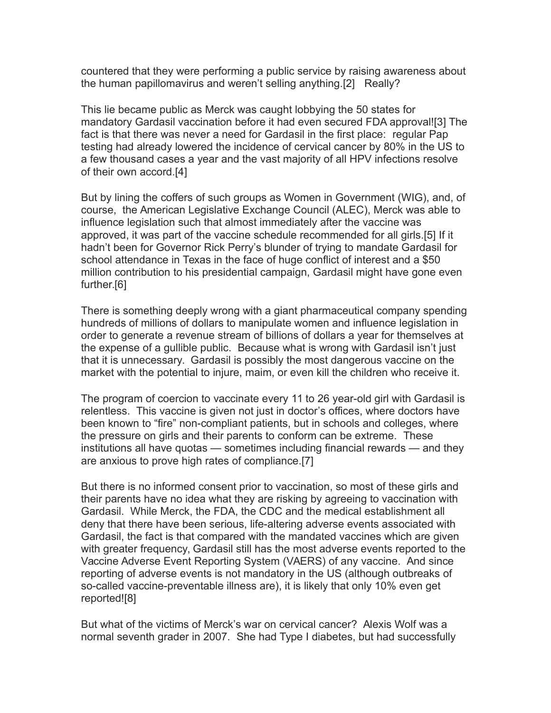countered that they were performing a public service by raising awareness about the human papillomavirus and weren't selling anything.[2] Really?

This lie became public as Merck was caught lobbying the 50 states for mandatory Gardasil vaccination before it had even secured FDA approval![3] The fact is that there was never a need for Gardasil in the first place: regular Pap testing had already lowered the incidence of cervical cancer by 80% in the US to a few thousand cases a year and the vast majority of all HPV infections resolve of their own accord.[4]

But by lining the coffers of such groups as Women in Government (WIG), and, of course, the American Legislative Exchange Council (ALEC), Merck was able to influence legislation such that almost immediately after the vaccine was approved, it was part of the vaccine schedule recommended for all girls.[5] If it hadn't been for Governor Rick Perry's blunder of trying to mandate Gardasil for school attendance in Texas in the face of huge conflict of interest and a \$50 million contribution to his presidential campaign, Gardasil might have gone even further.[6]

There is something deeply wrong with a giant pharmaceutical company spending hundreds of millions of dollars to manipulate women and influence legislation in order to generate a revenue stream of billions of dollars a year for themselves at the expense of a gullible public. Because what is wrong with Gardasil isn't just that it is unnecessary. Gardasil is possibly the most dangerous vaccine on the market with the potential to injure, maim, or even kill the children who receive it.

The program of coercion to vaccinate every 11 to 26 year-old girl with Gardasil is relentless. This vaccine is given not just in doctor's offices, where doctors have been known to "fire" non-compliant patients, but in schools and colleges, where the pressure on girls and their parents to conform can be extreme. These institutions all have quotas — sometimes including financial rewards — and they are anxious to prove high rates of compliance.[7]

But there is no informed consent prior to vaccination, so most of these girls and their parents have no idea what they are risking by agreeing to vaccination with Gardasil. While Merck, the FDA, the CDC and the medical establishment all deny that there have been serious, life-altering adverse events associated with Gardasil, the fact is that compared with the mandated vaccines which are given with greater frequency, Gardasil still has the most adverse events reported to the Vaccine Adverse Event Reporting System (VAERS) of any vaccine. And since reporting of adverse events is not mandatory in the US (although outbreaks of so-called vaccine-preventable illness are), it is likely that only 10% even get reported![8]

But what of the victims of Merck's war on cervical cancer? Alexis Wolf was a normal seventh grader in 2007. She had Type I diabetes, but had successfully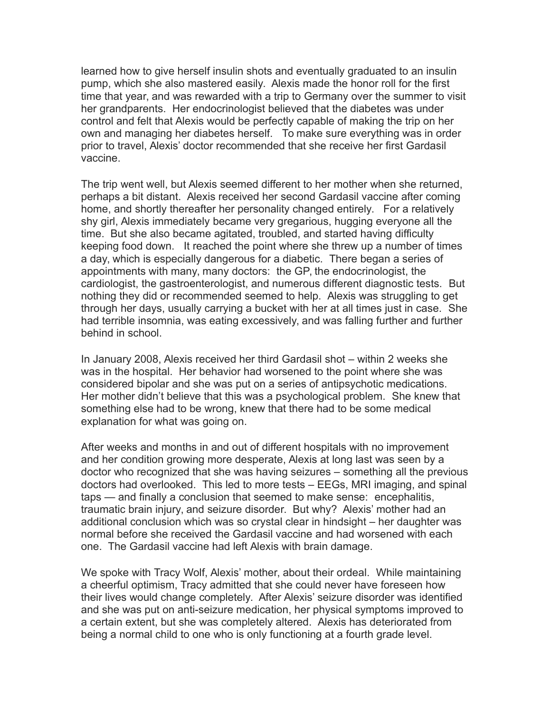learned how to give herself insulin shots and eventually graduated to an insulin pump, which she also mastered easily. Alexis made the honor roll for the first time that year, and was rewarded with a trip to Germany over the summer to visit her grandparents. Her endocrinologist believed that the diabetes was under control and felt that Alexis would be perfectly capable of making the trip on her own and managing her diabetes herself. To make sure everything was in order prior to travel, Alexis' doctor recommended that she receive her first Gardasil vaccine.

The trip went well, but Alexis seemed different to her mother when she returned, perhaps a bit distant. Alexis received her second Gardasil vaccine after coming home, and shortly thereafter her personality changed entirely. For a relatively shy girl, Alexis immediately became very gregarious, hugging everyone all the time. But she also became agitated, troubled, and started having difficulty keeping food down. It reached the point where she threw up a number of times a day, which is especially dangerous for a diabetic. There began a series of appointments with many, many doctors: the GP, the endocrinologist, the cardiologist, the gastroenterologist, and numerous different diagnostic tests. But nothing they did or recommended seemed to help. Alexis was struggling to get through her days, usually carrying a bucket with her at all times just in case. She had terrible insomnia, was eating excessively, and was falling further and further behind in school.

In January 2008, Alexis received her third Gardasil shot – within 2 weeks she was in the hospital. Her behavior had worsened to the point where she was considered bipolar and she was put on a series of antipsychotic medications. Her mother didn't believe that this was a psychological problem. She knew that something else had to be wrong, knew that there had to be some medical explanation for what was going on.

After weeks and months in and out of different hospitals with no improvement and her condition growing more desperate, Alexis at long last was seen by a doctor who recognized that she was having seizures – something all the previous doctors had overlooked. This led to more tests – EEGs, MRI imaging, and spinal taps — and finally a conclusion that seemed to make sense: encephalitis, traumatic brain injury, and seizure disorder. But why? Alexis' mother had an additional conclusion which was so crystal clear in hindsight – her daughter was normal before she received the Gardasil vaccine and had worsened with each one. The Gardasil vaccine had left Alexis with brain damage.

We spoke with Tracy Wolf, Alexis' mother, about their ordeal. While maintaining a cheerful optimism, Tracy admitted that she could never have foreseen how their lives would change completely. After Alexis' seizure disorder was identified and she was put on anti-seizure medication, her physical symptoms improved to a certain extent, but she was completely altered. Alexis has deteriorated from being a normal child to one who is only functioning at a fourth grade level.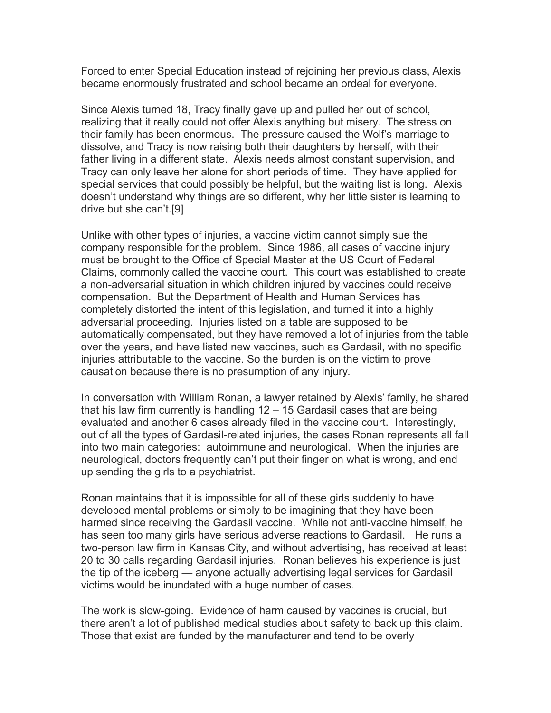Forced to enter Special Education instead of rejoining her previous class, Alexis became enormously frustrated and school became an ordeal for everyone.

Since Alexis turned 18, Tracy finally gave up and pulled her out of school, realizing that it really could not offer Alexis anything but misery. The stress on their family has been enormous. The pressure caused the Wolf's marriage to dissolve, and Tracy is now raising both their daughters by herself, with their father living in a different state. Alexis needs almost constant supervision, and Tracy can only leave her alone for short periods of time. They have applied for special services that could possibly be helpful, but the waiting list is long. Alexis doesn't understand why things are so different, why her little sister is learning to drive but she can't.[9]

Unlike with other types of injuries, a vaccine victim cannot simply sue the company responsible for the problem. Since 1986, all cases of vaccine injury must be brought to the Office of Special Master at the US Court of Federal Claims, commonly called the vaccine court. This court was established to create a non-adversarial situation in which children injured by vaccines could receive compensation. But the Department of Health and Human Services has completely distorted the intent of this legislation, and turned it into a highly adversarial proceeding. Injuries listed on a table are supposed to be automatically compensated, but they have removed a lot of injuries from the table over the years, and have listed new vaccines, such as Gardasil, with no specific injuries attributable to the vaccine. So the burden is on the victim to prove causation because there is no presumption of any injury.

In conversation with William Ronan, a lawyer retained by Alexis' family, he shared that his law firm currently is handling 12 – 15 Gardasil cases that are being evaluated and another 6 cases already filed in the vaccine court. Interestingly, out of all the types of Gardasil-related injuries, the cases Ronan represents all fall into two main categories: autoimmune and neurological. When the injuries are neurological, doctors frequently can't put their finger on what is wrong, and end up sending the girls to a psychiatrist.

Ronan maintains that it is impossible for all of these girls suddenly to have developed mental problems or simply to be imagining that they have been harmed since receiving the Gardasil vaccine. While not anti-vaccine himself, he has seen too many girls have serious adverse reactions to Gardasil. He runs a two-person law firm in Kansas City, and without advertising, has received at least 20 to 30 calls regarding Gardasil injuries. Ronan believes his experience is just the tip of the iceberg — anyone actually advertising legal services for Gardasil victims would be inundated with a huge number of cases.

The work is slow-going. Evidence of harm caused by vaccines is crucial, but there aren't a lot of published medical studies about safety to back up this claim. Those that exist are funded by the manufacturer and tend to be overly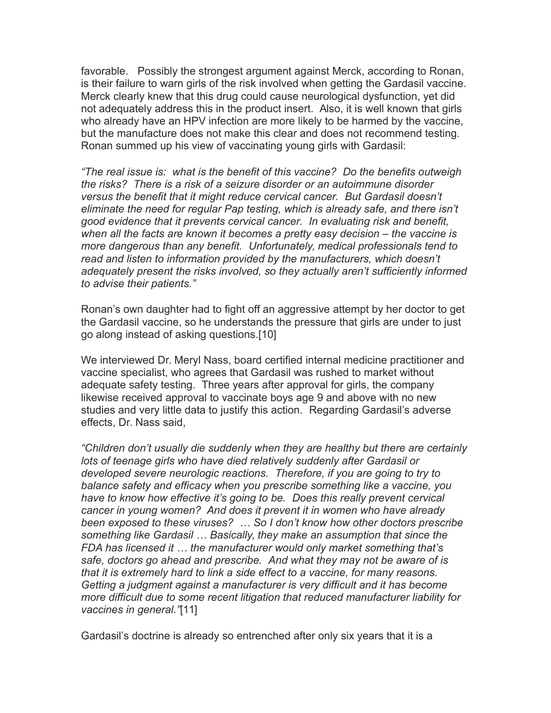favorable. Possibly the strongest argument against Merck, according to Ronan, is their failure to warn girls of the risk involved when getting the Gardasil vaccine. Merck clearly knew that this drug could cause neurological dysfunction, yet did not adequately address this in the product insert. Also, it is well known that girls who already have an HPV infection are more likely to be harmed by the vaccine, but the manufacture does not make this clear and does not recommend testing. Ronan summed up his view of vaccinating young girls with Gardasil:

*"The real issue is: what is the benefit of this vaccine? Do the benefits outweigh the risks? There is a risk of a seizure disorder or an autoimmune disorder versus the benefit that it might reduce cervical cancer. But Gardasil doesn't eliminate the need for regular Pap testing, which is already safe, and there isn't good evidence that it prevents cervical cancer. In evaluating risk and benefit, when all the facts are known it becomes a pretty easy decision – the vaccine is more dangerous than any benefit. Unfortunately, medical professionals tend to read and listen to information provided by the manufacturers, which doesn't adequately present the risks involved, so they actually aren't sufficiently informed to advise their patients."*

Ronan's own daughter had to fight off an aggressive attempt by her doctor to get the Gardasil vaccine, so he understands the pressure that girls are under to just go along instead of asking questions.[10]

We interviewed Dr. Meryl Nass, board certified internal medicine practitioner and vaccine specialist, who agrees that Gardasil was rushed to market without adequate safety testing. Three years after approval for girls, the company likewise received approval to vaccinate boys age 9 and above with no new studies and very little data to justify this action. Regarding Gardasil's adverse effects, Dr. Nass said,

*"Children don't usually die suddenly when they are healthy but there are certainly lots of teenage girls who have died relatively suddenly after Gardasil or developed severe neurologic reactions. Therefore, if you are going to try to balance safety and efficacy when you prescribe something like a vaccine, you have to know how effective it's going to be. Does this really prevent cervical cancer in young women? And does it prevent it in women who have already been exposed to these viruses? … So I don't know how other doctors prescribe something like Gardasil … Basically, they make an assumption that since the FDA has licensed it … the manufacturer would only market something that's safe, doctors go ahead and prescribe. And what they may not be aware of is that it is extremely hard to link a side effect to a vaccine, for many reasons. Getting a judgment against a manufacturer is very difficult and it has become more difficult due to some recent litigation that reduced manufacturer liability for vaccines in general."*[11]

Gardasil's doctrine is already so entrenched after only six years that it is a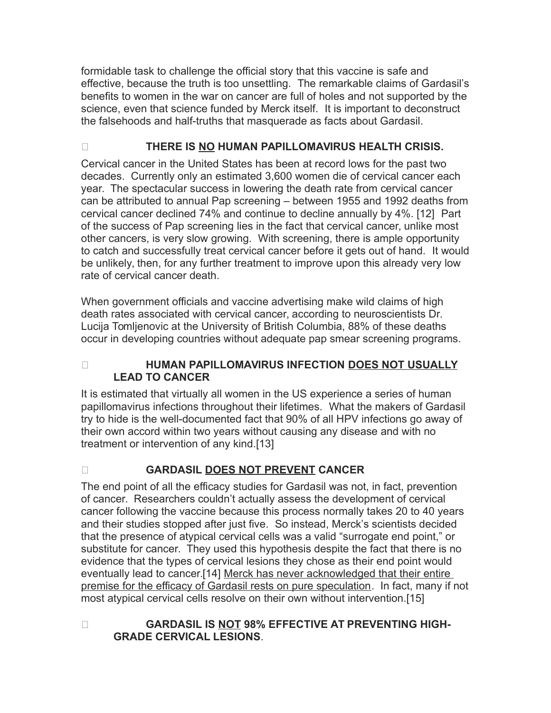formidable task to challenge the official story that this vaccine is safe and effective, because the truth is too unsettling. The remarkable claims of Gardasil's benefits to women in the war on cancer are full of holes and not supported by the science, even that science funded by Merck itself. It is important to deconstruct the falsehoods and half-truths that masquerade as facts about Gardasil.

## O **THERE IS NO HUMAN PAPILLOMAVIRUS HEALTH CRISIS.**

Cervical cancer in the United States has been at record lows for the past two decades. Currently only an estimated 3,600 women die of cervical cancer each year. The spectacular success in lowering the death rate from cervical cancer can be attributed to annual Pap screening – between 1955 and 1992 deaths from cervical cancer declined 74% and continue to decline annually by 4%. [12] Part of the success of Pap screening lies in the fact that cervical cancer, unlike most other cancers, is very slow growing. With screening, there is ample opportunity to catch and successfully treat cervical cancer before it gets out of hand. It would be unlikely, then, for any further treatment to improve upon this already very low rate of cervical cancer death.

When government officials and vaccine advertising make wild claims of high death rates associated with cervical cancer, according to neuroscientists Dr. Lucija Tomljenovic at the University of British Columbia, 88% of these deaths occur in developing countries without adequate pap smear screening programs.

## O **HUMAN PAPILLOMAVIRUS INFECTION DOES NOT USUALLY LEAD TO CANCER**

It is estimated that virtually all women in the US experience a series of human papillomavirus infections throughout their lifetimes. What the makers of Gardasil try to hide is the well-documented fact that 90% of all HPV infections go away of their own accord within two years without causing any disease and with no treatment or intervention of any kind.[13]

## O **GARDASIL DOES NOT PREVENT CANCER**

The end point of all the efficacy studies for Gardasil was not, in fact, prevention of cancer. Researchers couldn't actually assess the development of cervical cancer following the vaccine because this process normally takes 20 to 40 years and their studies stopped after just five. So instead, Merck's scientists decided that the presence of atypical cervical cells was a valid "surrogate end point," or substitute for cancer. They used this hypothesis despite the fact that there is no evidence that the types of cervical lesions they chose as their end point would eventually lead to cancer.<sup>[14]</sup> Merck has never acknowledged that their entire premise for the efficacy of Gardasil rests on pure speculation. In fact, many if not most atypical cervical cells resolve on their own without intervention.[15]

**O GARDASIL IS NOT 98% EFFECTIVE AT PREVENTING HIGH-GRADE CERVICAL LESIONS**.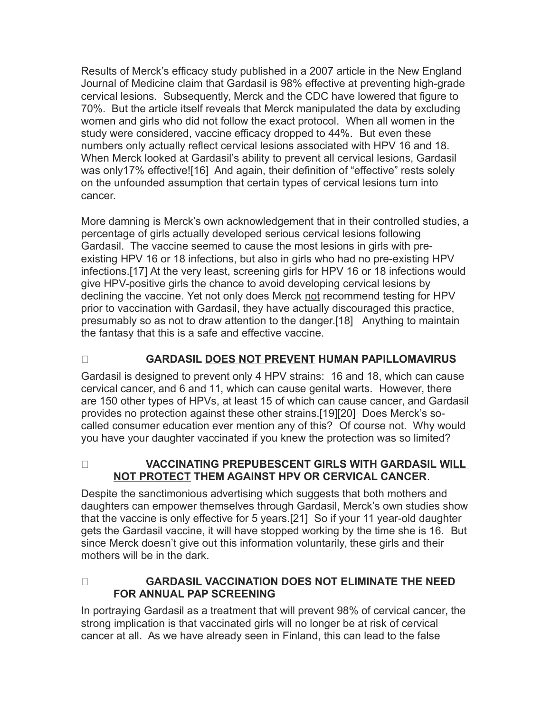Results of Merck's efficacy study published in a 2007 article in the New England Journal of Medicine claim that Gardasil is 98% effective at preventing high-grade cervical lesions. Subsequently, Merck and the CDC have lowered that figure to 70%. But the article itself reveals that Merck manipulated the data by excluding women and girls who did not follow the exact protocol. When all women in the study were considered, vaccine efficacy dropped to 44%. But even these numbers only actually reflect cervical lesions associated with HPV 16 and 18. When Merck looked at Gardasil's ability to prevent all cervical lesions, Gardasil was only17% effective![16] And again, their definition of "effective" rests solely on the unfounded assumption that certain types of cervical lesions turn into cancer.

More damning is Merck's own acknowledgement that in their controlled studies, a percentage of girls actually developed serious cervical lesions following Gardasil. The vaccine seemed to cause the most lesions in girls with preexisting HPV 16 or 18 infections, but also in girls who had no pre-existing HPV infections.[17] At the very least, screening girls for HPV 16 or 18 infections would give HPV-positive girls the chance to avoid developing cervical lesions by declining the vaccine. Yet not only does Merck not recommend testing for HPV prior to vaccination with Gardasil, they have actually discouraged this practice, presumably so as not to draw attention to the danger.[18] Anything to maintain the fantasy that this is a safe and effective vaccine.

## O **GARDASIL DOES NOT PREVENT HUMAN PAPILLOMAVIRUS**

Gardasil is designed to prevent only 4 HPV strains: 16 and 18, which can cause cervical cancer, and 6 and 11, which can cause genital warts. However, there are 150 other types of HPVs, at least 15 of which can cause cancer, and Gardasil provides no protection against these other strains.[19][20] Does Merck's socalled consumer education ever mention any of this? Of course not. Why would you have your daughter vaccinated if you knew the protection was so limited?

O **VACCINATING PREPUBESCENT GIRLS WITH GARDASIL WILL NOT PROTECT THEM AGAINST HPV OR CERVICAL CANCER**.

Despite the sanctimonious advertising which suggests that both mothers and daughters can empower themselves through Gardasil, Merck's own studies show that the vaccine is only effective for 5 years.[21] So if your 11 year-old daughter gets the Gardasil vaccine, it will have stopped working by the time she is 16. But since Merck doesn't give out this information voluntarily, these girls and their mothers will be in the dark.

O **GARDASIL VACCINATION DOES NOT ELIMINATE THE NEED FOR ANNUAL PAP SCREENING**

In portraying Gardasil as a treatment that will prevent 98% of cervical cancer, the strong implication is that vaccinated girls will no longer be at risk of cervical cancer at all. As we have already seen in Finland, this can lead to the false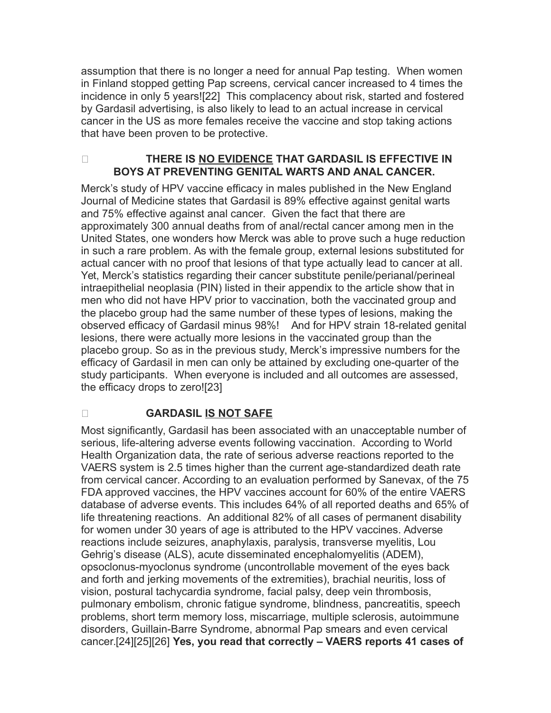assumption that there is no longer a need for annual Pap testing. When women in Finland stopped getting Pap screens, cervical cancer increased to 4 times the incidence in only 5 years![22] This complacency about risk, started and fostered by Gardasil advertising, is also likely to lead to an actual increase in cervical cancer in the US as more females receive the vaccine and stop taking actions that have been proven to be protective.

## O **THERE IS NO EVIDENCE THAT GARDASIL IS EFFECTIVE IN BOYS AT PREVENTING GENITAL WARTS AND ANAL CANCER.**

Merck's study of HPV vaccine efficacy in males published in the New England Journal of Medicine states that Gardasil is 89% effective against genital warts and 75% effective against anal cancer. Given the fact that there are approximately 300 annual deaths from of anal/rectal cancer among men in the United States, one wonders how Merck was able to prove such a huge reduction in such a rare problem. As with the female group, external lesions substituted for actual cancer with no proof that lesions of that type actually lead to cancer at all. Yet, Merck's statistics regarding their cancer substitute penile/perianal/perineal intraepithelial neoplasia (PIN) listed in their appendix to the article show that in men who did not have HPV prior to vaccination, both the vaccinated group and the placebo group had the same number of these types of lesions, making the observed efficacy of Gardasil minus 98%! And for HPV strain 18-related genital lesions, there were actually more lesions in the vaccinated group than the placebo group. So as in the previous study, Merck's impressive numbers for the efficacy of Gardasil in men can only be attained by excluding one-quarter of the study participants. When everyone is included and all outcomes are assessed, the efficacy drops to zero![23]

## O **GARDASIL IS NOT SAFE**

Most significantly, Gardasil has been associated with an unacceptable number of serious, life-altering adverse events following vaccination. According to World Health Organization data, the rate of serious adverse reactions reported to the VAERS system is 2.5 times higher than the current age-standardized death rate from cervical cancer. According to an evaluation performed by Sanevax, of the 75 FDA approved vaccines, the HPV vaccines account for 60% of the entire VAERS database of adverse events. This includes 64% of all reported deaths and 65% of life threatening reactions. An additional 82% of all cases of permanent disability for women under 30 years of age is attributed to the HPV vaccines. Adverse reactions include seizures, anaphylaxis, paralysis, transverse myelitis, Lou Gehrig's disease (ALS), acute disseminated encephalomyelitis (ADEM), opsoclonus-myoclonus syndrome (uncontrollable movement of the eyes back and forth and jerking movements of the extremities), brachial neuritis, loss of vision, postural tachycardia syndrome, facial palsy, deep vein thrombosis, pulmonary embolism, chronic fatigue syndrome, blindness, pancreatitis, speech problems, short term memory loss, miscarriage, multiple sclerosis, autoimmune disorders, Guillain-Barre Syndrome, abnormal Pap smears and even cervical cancer.[24][25][26] **Yes, you read that correctly – VAERS reports 41 cases of**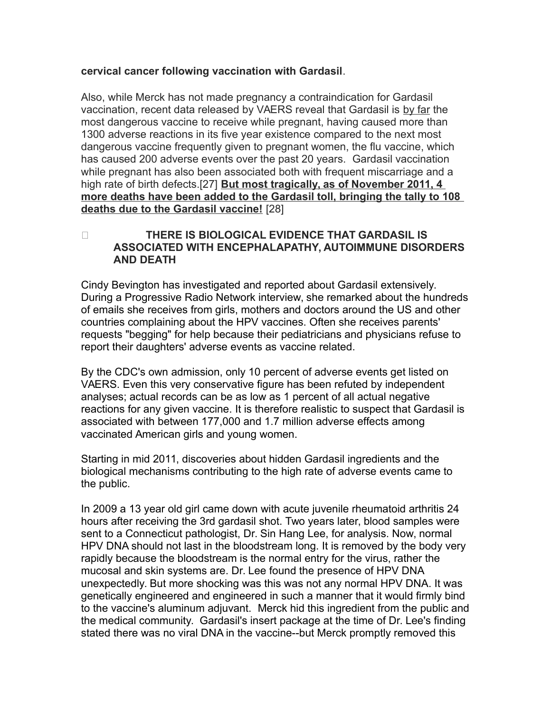#### **cervical cancer following vaccination with Gardasil**.

Also, while Merck has not made pregnancy a contraindication for Gardasil vaccination, recent data released by VAERS reveal that Gardasil is by far the most dangerous vaccine to receive while pregnant, having caused more than 1300 adverse reactions in its five year existence compared to the next most dangerous vaccine frequently given to pregnant women, the flu vaccine, which has caused 200 adverse events over the past 20 years. Gardasil vaccination while pregnant has also been associated both with frequent miscarriage and a high rate of birth defects.[27] **But most tragically, as of November 2011, 4 more deaths have been added to the Gardasil toll, bringing the tally to 108 deaths due to the Gardasil vaccine!** [28]

## O **THERE IS BIOLOGICAL EVIDENCE THAT GARDASIL IS ASSOCIATED WITH ENCEPHALAPATHY, AUTOIMMUNE DISORDERS AND DEATH**

Cindy Bevington has investigated and reported about Gardasil extensively. During a Progressive Radio Network interview, she remarked about the hundreds of emails she receives from girls, mothers and doctors around the US and other countries complaining about the HPV vaccines. Often she receives parents' requests "begging" for help because their pediatricians and physicians refuse to report their daughters' adverse events as vaccine related.

By the CDC's own admission, only 10 percent of adverse events get listed on VAERS. Even this very conservative figure has been refuted by independent analyses; actual records can be as low as 1 percent of all actual negative reactions for any given vaccine. It is therefore realistic to suspect that Gardasil is associated with between 177,000 and 1.7 million adverse effects among vaccinated American girls and young women.

Starting in mid 2011, discoveries about hidden Gardasil ingredients and the biological mechanisms contributing to the high rate of adverse events came to the public.

In 2009 a 13 year old girl came down with acute juvenile rheumatoid arthritis 24 hours after receiving the 3rd gardasil shot. Two years later, blood samples were sent to a Connecticut pathologist, Dr. Sin Hang Lee, for analysis. Now, normal HPV DNA should not last in the bloodstream long. It is removed by the body very rapidly because the bloodstream is the normal entry for the virus, rather the mucosal and skin systems are. Dr. Lee found the presence of HPV DNA unexpectedly. But more shocking was this was not any normal HPV DNA. It was genetically engineered and engineered in such a manner that it would firmly bind to the vaccine's aluminum adjuvant. Merck hid this ingredient from the public and the medical community. Gardasil's insert package at the time of Dr. Lee's finding stated there was no viral DNA in the vaccine--but Merck promptly removed this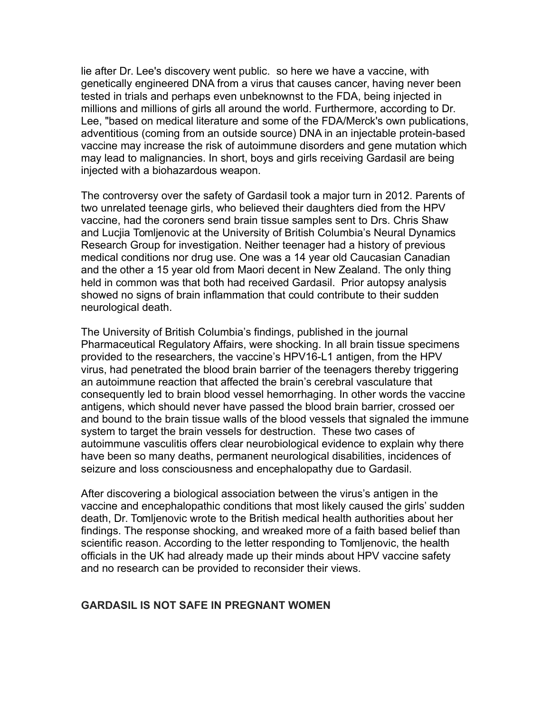lie after Dr. Lee's discovery went public. so here we have a vaccine, with genetically engineered DNA from a virus that causes cancer, having never been tested in trials and perhaps even unbeknownst to the FDA, being injected in millions and millions of girls all around the world. Furthermore, according to Dr. Lee, "based on medical literature and some of the FDA/Merck's own publications, adventitious (coming from an outside source) DNA in an injectable protein-based vaccine may increase the risk of autoimmune disorders and gene mutation which may lead to malignancies. In short, boys and girls receiving Gardasil are being injected with a biohazardous weapon.

The controversy over the safety of Gardasil took a major turn in 2012. Parents of two unrelated teenage girls, who believed their daughters died from the HPV vaccine, had the coroners send brain tissue samples sent to Drs. Chris Shaw and Lucjia Tomljenovic at the University of British Columbia's Neural Dynamics Research Group for investigation. Neither teenager had a history of previous medical conditions nor drug use. One was a 14 year old Caucasian Canadian and the other a 15 year old from Maori decent in New Zealand. The only thing held in common was that both had received Gardasil. Prior autopsy analysis showed no signs of brain inflammation that could contribute to their sudden neurological death.

The University of British Columbia's findings, published in the journal Pharmaceutical Regulatory Affairs, were shocking. In all brain tissue specimens provided to the researchers, the vaccine's HPV16-L1 antigen, from the HPV virus, had penetrated the blood brain barrier of the teenagers thereby triggering an autoimmune reaction that affected the brain's cerebral vasculature that consequently led to brain blood vessel hemorrhaging. In other words the vaccine antigens, which should never have passed the blood brain barrier, crossed oer and bound to the brain tissue walls of the blood vessels that signaled the immune system to target the brain vessels for destruction. These two cases of autoimmune vasculitis offers clear neurobiological evidence to explain why there have been so many deaths, permanent neurological disabilities, incidences of seizure and loss consciousness and encephalopathy due to Gardasil.

After discovering a biological association between the virus's antigen in the vaccine and encephalopathic conditions that most likely caused the girls' sudden death, Dr. Tomljenovic wrote to the British medical health authorities about her findings. The response shocking, and wreaked more of a faith based belief than scientific reason. According to the letter responding to Tomljenovic, the health officials in the UK had already made up their minds about HPV vaccine safety and no research can be provided to reconsider their views.

#### **GARDASIL IS NOT SAFE IN PREGNANT WOMEN**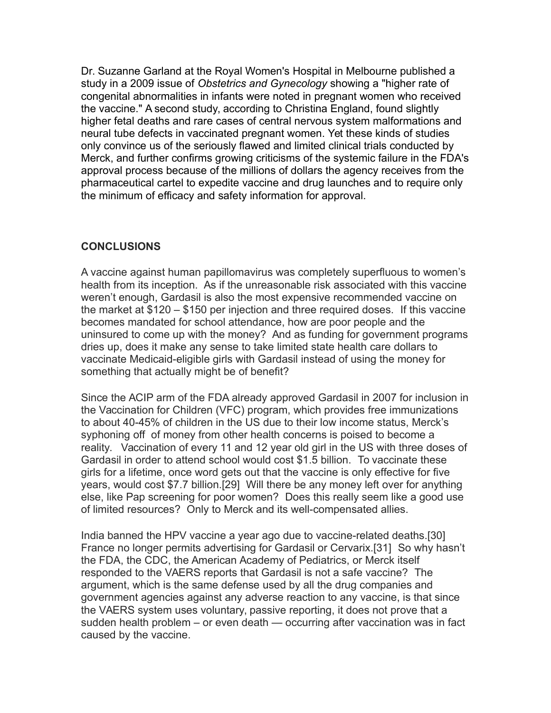Dr. Suzanne Garland at the Royal Women's Hospital in Melbourne published a study in a 2009 issue of *Obstetrics and Gynecology* showing a "higher rate of congenital abnormalities in infants were noted in pregnant women who received the vaccine." A second study, according to Christina England, found slightly higher fetal deaths and rare cases of central nervous system malformations and neural tube defects in vaccinated pregnant women. Yet these kinds of studies only convince us of the seriously flawed and limited clinical trials conducted by Merck, and further confirms growing criticisms of the systemic failure in the FDA's approval process because of the millions of dollars the agency receives from the pharmaceutical cartel to expedite vaccine and drug launches and to require only the minimum of efficacy and safety information for approval.

## **CONCLUSIONS**

A vaccine against human papillomavirus was completely superfluous to women's health from its inception. As if the unreasonable risk associated with this vaccine weren't enough, Gardasil is also the most expensive recommended vaccine on the market at \$120 – \$150 per injection and three required doses. If this vaccine becomes mandated for school attendance, how are poor people and the uninsured to come up with the money? And as funding for government programs dries up, does it make any sense to take limited state health care dollars to vaccinate Medicaid-eligible girls with Gardasil instead of using the money for something that actually might be of benefit?

Since the ACIP arm of the FDA already approved Gardasil in 2007 for inclusion in the Vaccination for Children (VFC) program, which provides free immunizations to about 40-45% of children in the US due to their low income status, Merck's syphoning off of money from other health concerns is poised to become a reality. Vaccination of every 11 and 12 year old girl in the US with three doses of Gardasil in order to attend school would cost \$1.5 billion. To vaccinate these girls for a lifetime, once word gets out that the vaccine is only effective for five years, would cost \$7.7 billion.[29] Will there be any money left over for anything else, like Pap screening for poor women? Does this really seem like a good use of limited resources? Only to Merck and its well-compensated allies.

India banned the HPV vaccine a year ago due to vaccine-related deaths.[30] France no longer permits advertising for Gardasil or Cervarix.[31] So why hasn't the FDA, the CDC, the American Academy of Pediatrics, or Merck itself responded to the VAERS reports that Gardasil is not a safe vaccine? The argument, which is the same defense used by all the drug companies and government agencies against any adverse reaction to any vaccine, is that since the VAERS system uses voluntary, passive reporting, it does not prove that a sudden health problem – or even death — occurring after vaccination was in fact caused by the vaccine.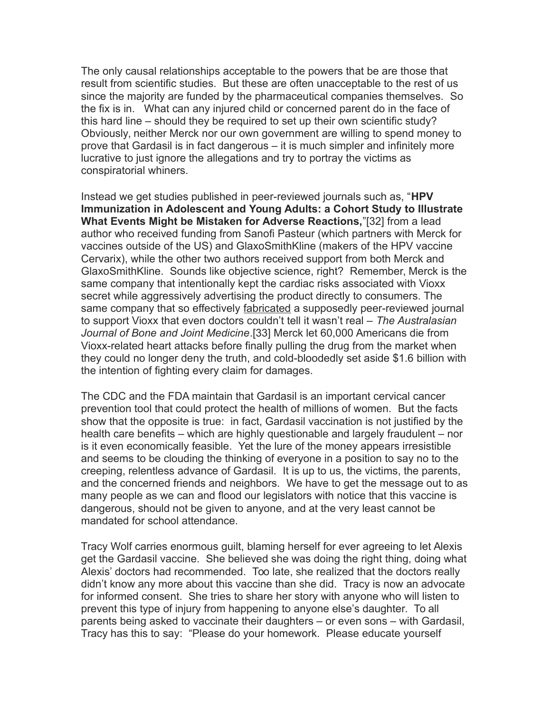The only causal relationships acceptable to the powers that be are those that result from scientific studies. But these are often unacceptable to the rest of us since the majority are funded by the pharmaceutical companies themselves. So the fix is in. What can any injured child or concerned parent do in the face of this hard line – should they be required to set up their own scientific study? Obviously, neither Merck nor our own government are willing to spend money to prove that Gardasil is in fact dangerous – it is much simpler and infinitely more lucrative to just ignore the allegations and try to portray the victims as conspiratorial whiners.

Instead we get studies published in peer-reviewed journals such as, "**HPV Immunization in Adolescent and Young Adults: a Cohort Study to Illustrate What Events Might be Mistaken for Adverse Reactions,**"[32] from a lead author who received funding from Sanofi Pasteur (which partners with Merck for vaccines outside of the US) and GlaxoSmithKline (makers of the HPV vaccine Cervarix), while the other two authors received support from both Merck and GlaxoSmithKline. Sounds like objective science, right? Remember, Merck is the same company that intentionally kept the cardiac risks associated with Vioxx secret while aggressively advertising the product directly to consumers. The same company that so effectively fabricated a supposedly peer-reviewed journal to support Vioxx that even doctors couldn't tell it wasn't real – *The Australasian Journal of Bone and Joint Medicine*.[33] Merck let 60,000 Americans die from Vioxx-related heart attacks before finally pulling the drug from the market when they could no longer deny the truth, and cold-bloodedly set aside \$1.6 billion with the intention of fighting every claim for damages.

The CDC and the FDA maintain that Gardasil is an important cervical cancer prevention tool that could protect the health of millions of women. But the facts show that the opposite is true: in fact, Gardasil vaccination is not justified by the health care benefits – which are highly questionable and largely fraudulent – nor is it even economically feasible. Yet the lure of the money appears irresistible and seems to be clouding the thinking of everyone in a position to say no to the creeping, relentless advance of Gardasil. It is up to us, the victims, the parents, and the concerned friends and neighbors. We have to get the message out to as many people as we can and flood our legislators with notice that this vaccine is dangerous, should not be given to anyone, and at the very least cannot be mandated for school attendance.

Tracy Wolf carries enormous guilt, blaming herself for ever agreeing to let Alexis get the Gardasil vaccine. She believed she was doing the right thing, doing what Alexis' doctors had recommended. Too late, she realized that the doctors really didn't know any more about this vaccine than she did. Tracy is now an advocate for informed consent. She tries to share her story with anyone who will listen to prevent this type of injury from happening to anyone else's daughter. To all parents being asked to vaccinate their daughters – or even sons – with Gardasil, Tracy has this to say: "Please do your homework. Please educate yourself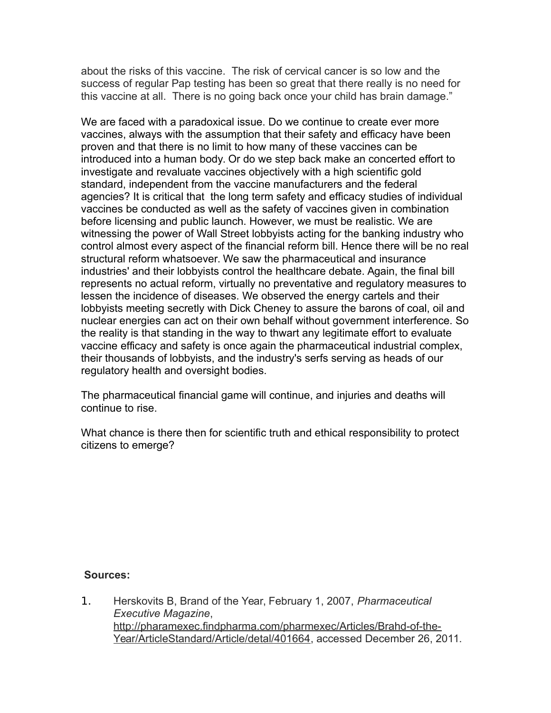about the risks of this vaccine. The risk of cervical cancer is so low and the success of regular Pap testing has been so great that there really is no need for this vaccine at all. There is no going back once your child has brain damage."

We are faced with a paradoxical issue. Do we continue to create ever more vaccines, always with the assumption that their safety and efficacy have been proven and that there is no limit to how many of these vaccines can be introduced into a human body. Or do we step back make an concerted effort to investigate and revaluate vaccines objectively with a high scientific gold standard, independent from the vaccine manufacturers and the federal agencies? It is critical that the long term safety and efficacy studies of individual vaccines be conducted as well as the safety of vaccines given in combination before licensing and public launch. However, we must be realistic. We are witnessing the power of Wall Street lobbyists acting for the banking industry who control almost every aspect of the financial reform bill. Hence there will be no real structural reform whatsoever. We saw the pharmaceutical and insurance industries' and their lobbyists control the healthcare debate. Again, the final bill represents no actual reform, virtually no preventative and regulatory measures to lessen the incidence of diseases. We observed the energy cartels and their lobbyists meeting secretly with Dick Cheney to assure the barons of coal, oil and nuclear energies can act on their own behalf without government interference. So the reality is that standing in the way to thwart any legitimate effort to evaluate vaccine efficacy and safety is once again the pharmaceutical industrial complex, their thousands of lobbyists, and the industry's serfs serving as heads of our regulatory health and oversight bodies.

The pharmaceutical financial game will continue, and injuries and deaths will continue to rise.

What chance is there then for scientific truth and ethical responsibility to protect citizens to emerge?

#### **Sources:**

1. Herskovits B, Brand of the Year, February 1, 2007, *Pharmaceutical Executive Magazine*, [http://pharamexec.findpharma.com/pharmexec/Articles/Brahd-of-the-](http://pharamexec.findpharma.com/pharmexec/Articles/Brahd-of-the-Year/ArticleStandard/Article/detal/401664)[Year/ArticleStandard/Article/detal/401664,](http://pharamexec.findpharma.com/pharmexec/Articles/Brahd-of-the-Year/ArticleStandard/Article/detal/401664) accessed December 26, 2011.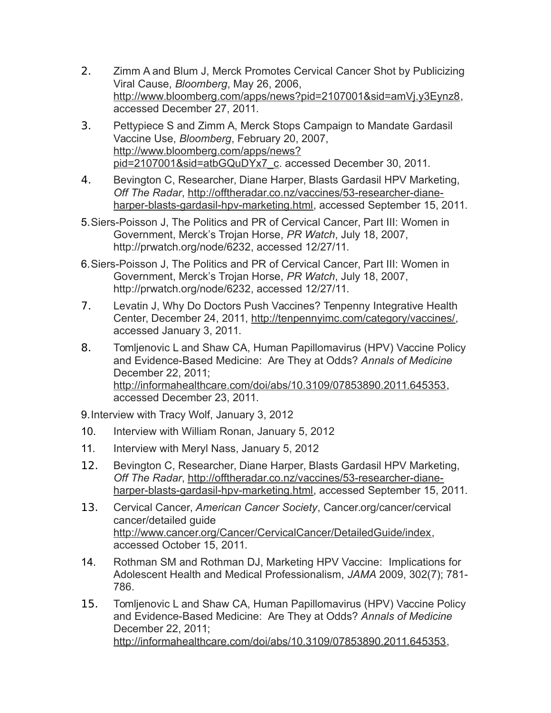- 2. Zimm A and Blum J, Merck Promotes Cervical Cancer Shot by Publicizing Viral Cause, *Bloomberg*, May 26, 2006, [http://www.bloomberg.com/apps/news?pid=2107001&sid=amVj.y3Eynz8,](http://www.bloomberg.com/apps/news?pid=2107001&sid=amVj.y3Eynz8) accessed December 27, 2011.
- 3. Pettypiece S and Zimm A, Merck Stops Campaign to Mandate Gardasil Vaccine Use, *Bloomberg*, February 20, 2007, [http://www.bloomberg.com/apps/news?](http://www.bloomberg.com/apps/news?pid=2107001&sid=atbGQuDYx7_c) [pid=2107001&sid=atbGQuDYx7\\_c.](http://www.bloomberg.com/apps/news?pid=2107001&sid=atbGQuDYx7_c) accessed December 30, 2011.
- 4. Bevington C, Researcher, Diane Harper, Blasts Gardasil HPV Marketing, *Off The Radar*, [http://offtheradar.co.nz/vaccines/53-researcher-diane](http://offtheradar.co.nz/vaccines/53-researcher-diane-harper-blasts-gardasil-hpv-marketing.html)[harper-blasts-gardasil-hpv-marketing.html,](http://offtheradar.co.nz/vaccines/53-researcher-diane-harper-blasts-gardasil-hpv-marketing.html) accessed September 15, 2011.
- 5.Siers-Poisson J, The Politics and PR of Cervical Cancer, Part III: Women in Government, Merck's Trojan Horse, *PR Watch*, July 18, 2007, http://prwatch.org/node/6232, accessed 12/27/11.
- 6.Siers-Poisson J, The Politics and PR of Cervical Cancer, Part III: Women in Government, Merck's Trojan Horse, *PR Watch*, July 18, 2007, http://prwatch.org/node/6232, accessed 12/27/11.
- 7. Levatin J, Why Do Doctors Push Vaccines? Tenpenny Integrative Health Center, December 24, 2011, [http://tenpennyimc.com/category/vaccines/,](http://tenpennyimc.com/category/vaccines/) accessed January 3, 2011.
- 8. Tomljenovic L and Shaw CA, Human Papillomavirus (HPV) Vaccine Policy and Evidence-Based Medicine: Are They at Odds? *Annals of Medicine* December 22, 2011; [http://informahealthcare.com/doi/abs/10.3109/07853890.2011.645353,](http://informahealthcare.com/doi/abs/10.3109/07853890.2011.645353) accessed December 23, 2011.

9.Interview with Tracy Wolf, January 3, 2012

- 10. Interview with William Ronan, January 5, 2012
- 11. Interview with Meryl Nass, January 5, 2012
- 12. Bevington C, Researcher, Diane Harper, Blasts Gardasil HPV Marketing, *Off The Radar*, [http://offtheradar.co.nz/vaccines/53-researcher-diane](http://offtheradar.co.nz/vaccines/53-researcher-diane-harper-blasts-gardasil-hpv-marketing.html)[harper-blasts-gardasil-hpv-marketing.html,](http://offtheradar.co.nz/vaccines/53-researcher-diane-harper-blasts-gardasil-hpv-marketing.html) accessed September 15, 2011.
- 13. Cervical Cancer, *American Cancer Society*, Cancer.org/cancer/cervical cancer/detailed guide [http://www.cancer.org/Cancer/CervicalCancer/DetailedGuide/index,](http://www.cancer.org/Cancer/CervicalCancer/DetailedGuide/index) accessed October 15, 2011.
- 14. Rothman SM and Rothman DJ, Marketing HPV Vaccine: Implications for Adolescent Health and Medical Professionalism, *JAMA* 2009, 302(7); 781- 786.
- 15. Tomljenovic L and Shaw CA, Human Papillomavirus (HPV) Vaccine Policy and Evidence-Based Medicine: Are They at Odds? *Annals of Medicine* December 22, 2011; [http://informahealthcare.com/doi/abs/10.3109/07853890.2011.645353,](http://informahealthcare.com/doi/abs/10.3109/07853890.2011.645353)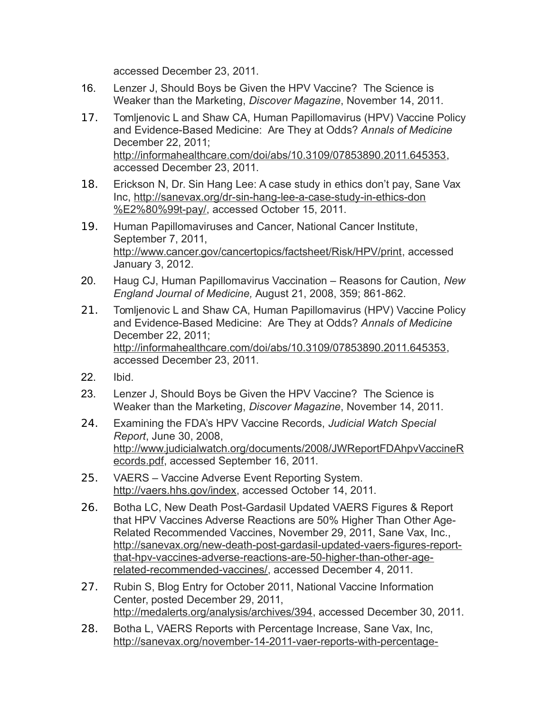accessed December 23, 2011.

- 16. Lenzer J, Should Boys be Given the HPV Vaccine? The Science is Weaker than the Marketing, *Discover Magazine*, November 14, 2011.
- 17. Tomljenovic L and Shaw CA, Human Papillomavirus (HPV) Vaccine Policy and Evidence-Based Medicine: Are They at Odds? *Annals of Medicine* December 22, 2011; [http://informahealthcare.com/doi/abs/10.3109/07853890.2011.645353,](http://informahealthcare.com/doi/abs/10.3109/07853890.2011.645353) accessed December 23, 2011.
- 18. Erickson N, Dr. Sin Hang Lee: A case study in ethics don't pay, Sane Vax Inc, [http://sanevax.org/dr-sin-hang-lee-a-case-study-in-ethics-don](http://sanevax.org/dr-sin-hang-lee-a-case-study-in-ethics-don%E2%80%99t-pay/) [%E2%80%99t-pay/,](http://sanevax.org/dr-sin-hang-lee-a-case-study-in-ethics-don%E2%80%99t-pay/) accessed October 15, 2011.
- 19. Human Papillomaviruses and Cancer, National Cancer Institute, September 7, 2011, [http://www.cancer.gov/cancertopics/factsheet/Risk/HPV/print,](http://www.cancer.gov/cancertopics/factsheet/Risk/HPV/print) accessed January 3, 2012.
- 20. Haug CJ, Human Papillomavirus Vaccination Reasons for Caution, *New England Journal of Medicine,* August 21, 2008, 359; 861-862.
- 21. Tomljenovic L and Shaw CA, Human Papillomavirus (HPV) Vaccine Policy and Evidence-Based Medicine: Are They at Odds? *Annals of Medicine* December 22, 2011; [http://informahealthcare.com/doi/abs/10.3109/07853890.2011.645353,](http://informahealthcare.com/doi/abs/10.3109/07853890.2011.645353) accessed December 23, 2011.
- 22. Ibid.
- 23. Lenzer J, Should Boys be Given the HPV Vaccine? The Science is Weaker than the Marketing, *Discover Magazine*, November 14, 2011.
- 24. Examining the FDA's HPV Vaccine Records, *Judicial Watch Special Report*, June 30, 2008, [http://www.judicialwatch.org/documents/2008/JWReportFDAhpvVaccineR](http://www.judicialwatch.org/documents/2008/JWReportFDAhpvVaccineRecords.pdf) [ecords.pdf,](http://www.judicialwatch.org/documents/2008/JWReportFDAhpvVaccineRecords.pdf) accessed September 16, 2011.
- 25. VAERS Vaccine Adverse Event Reporting System. [http://vaers.hhs.gov/index,](http://vaers.hhs.gov/index) accessed October 14, 2011.
- 26. Botha LC, New Death Post-Gardasil Updated VAERS Figures & Report that HPV Vaccines Adverse Reactions are 50% Higher Than Other Age-Related Recommended Vaccines, November 29, 2011, Sane Vax, Inc., [http://sanevax.org/new-death-post-gardasil-updated-vaers-figures-report](http://sanevax.org/new-death-post-gardasil-updated-vaers-figures-report-that-hpv-vaccines-adverse-reactions-are-50-higher-than-other-age-related-recommended-vaccines/)[that-hpv-vaccines-adverse-reactions-are-50-higher-than-other-age](http://sanevax.org/new-death-post-gardasil-updated-vaers-figures-report-that-hpv-vaccines-adverse-reactions-are-50-higher-than-other-age-related-recommended-vaccines/)[related-recommended-vaccines/,](http://sanevax.org/new-death-post-gardasil-updated-vaers-figures-report-that-hpv-vaccines-adverse-reactions-are-50-higher-than-other-age-related-recommended-vaccines/) accessed December 4, 2011.
- 27. Rubin S, Blog Entry for October 2011, National Vaccine Information Center, posted December 29, 2011, [http://medalerts.org/analysis/archives/394,](http://medalerts.org/analysis/archives/394) accessed December 30, 2011.
- 28. Botha L, VAERS Reports with Percentage Increase, Sane Vax, Inc, [http://sanevax.org/november-14-2011-vaer-reports-with-percentage-](http://sanevax.org/november-14-2011-vaer-reports-with-percentage-increase/)